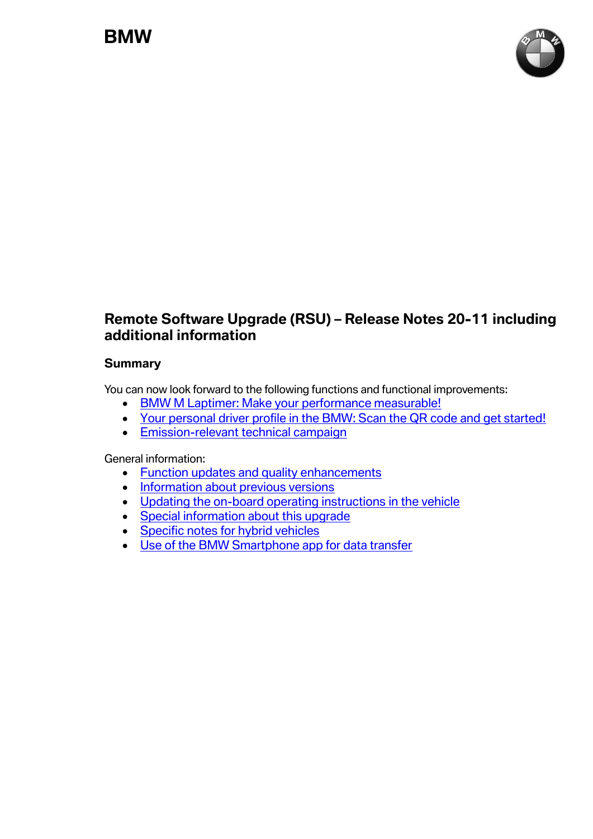

# **Remote Software Upgrade (RSU) – Release Notes 20-11 including additional information**

#### **Summary**

You can now look forward to the following functions and functional improvements:

- [BMW M Laptimer: Make your performance measurable!](#page-1-0)
- [Your personal driver profile in the BMW: Scan the QR code and get started!](#page-1-1)
- [Emission-relevant technical campaign](#page-2-0)

General information:

- [Function updates and quality enhancements](#page-3-0)
- [Information about previous versions](#page-3-1)
- [Updating the on-board operating instructions in the vehicle](#page-3-2)
- [Special information about this upgrade](#page-3-3)
- [Specific notes for hybrid vehicles](#page-4-0)
- [Use of the BMW Smartphone app for data transfer](#page-5-0)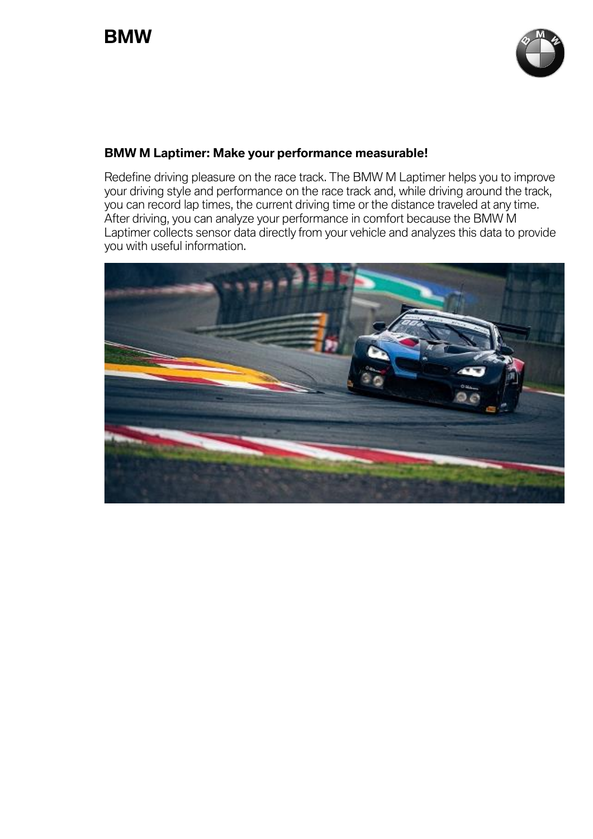

## <span id="page-1-0"></span>**BMW M Laptimer: Make your performance measurable!**

Redefine driving pleasure on the race track. The BMW M Laptimer helps you to improve your driving style and performance on the race track and, while driving around the track, you can record lap times, the current driving time or the distance traveled at any time. After driving, you can analyze your performance in comfort because the BMW M Laptimer collects sensor data directly from your vehicle and analyzes this data to provide you with useful information.

<span id="page-1-1"></span>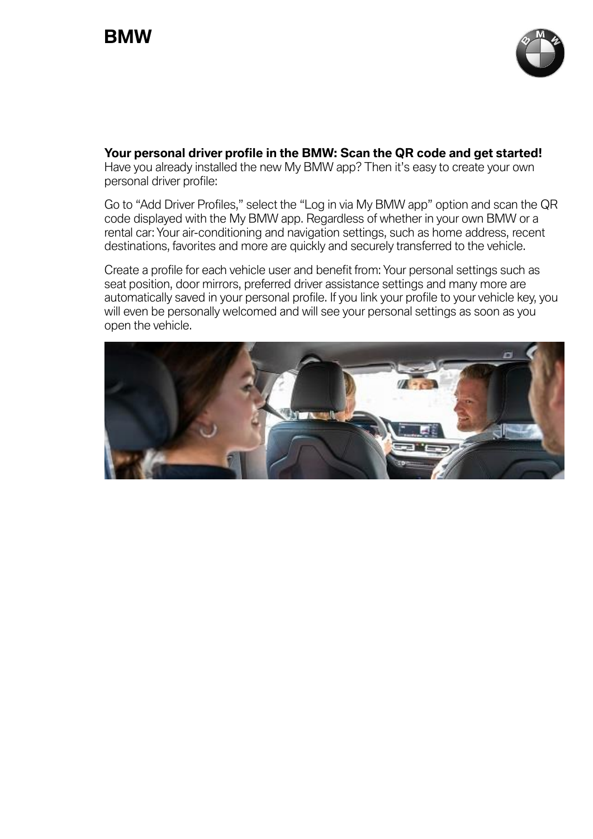

**Your personal driver profile in the BMW: Scan the QR code and get started!** Have you already installed the new My BMW app? Then it's easy to create your own personal driver profile:

Go to "Add Driver Profiles," select the "Log in via My BMW app" option and scan the QR code displayed with the My BMW app. Regardless of whether in your own BMW or a rental car: Your air-conditioning and navigation settings, such as home address, recent destinations, favorites and more are quickly and securely transferred to the vehicle.

Create a profile for each vehicle user and benefit from: Your personal settings such as seat position, door mirrors, preferred driver assistance settings and many more are automatically saved in your personal profile. If you link your profile to your vehicle key, you will even be personally welcomed and will see your personal settings as soon as you open the vehicle.

<span id="page-2-0"></span>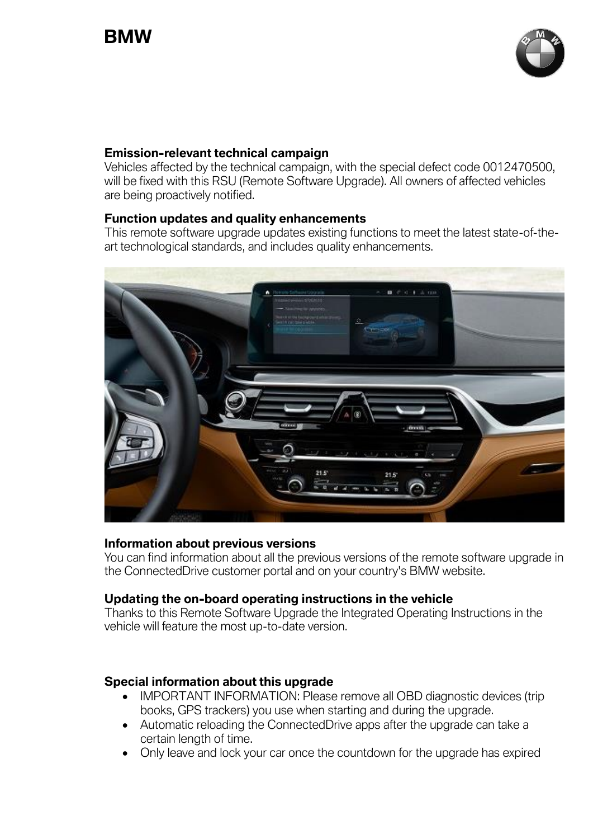

#### **Emission-relevant technical campaign**

Vehicles affected by the technical campaign, with the special defect code 0012470500, will be fixed with this RSU (Remote Software Upgrade). All owners of affected vehicles are being proactively notified.

## <span id="page-3-0"></span>**Function updates and quality enhancements**

This remote software upgrade updates existing functions to meet the latest state-of-theart technological standards, and includes quality enhancements.



#### <span id="page-3-1"></span>**Information about previous versions**

You can find information about all the previous versions of the remote software upgrade in the ConnectedDrive customer portal and on your country's BMW website.

#### <span id="page-3-2"></span>**Updating the on-board operating instructions in the vehicle**

Thanks to this Remote Software Upgrade the Integrated Operating Instructions in the vehicle will feature the most up-to-date version.

# <span id="page-3-3"></span>**Special information about this upgrade**

- IMPORTANT INFORMATION: Please remove all OBD diagnostic devices (trip books, GPS trackers) you use when starting and during the upgrade.
- Automatic reloading the ConnectedDrive apps after the upgrade can take a certain length of time.
- Only leave and lock your car once the countdown for the upgrade has expired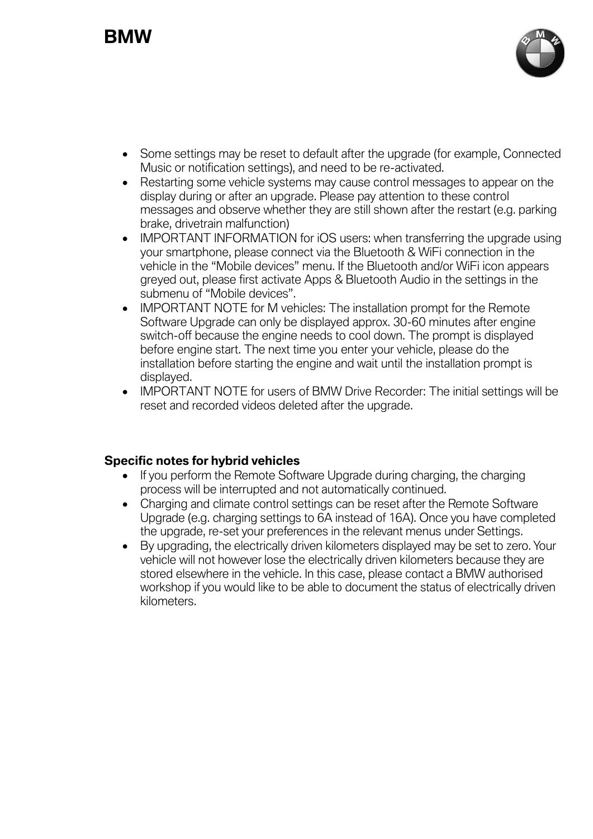# **BMW**



- Some settings may be reset to default after the upgrade (for example, Connected Music or notification settings), and need to be re-activated.
- Restarting some vehicle systems may cause control messages to appear on the display during or after an upgrade. Please pay attention to these control messages and observe whether they are still shown after the restart (e.g. parking brake, drivetrain malfunction)
- IMPORTANT INFORMATION for iOS users: when transferring the upgrade using your smartphone, please connect via the Bluetooth & WiFi connection in the vehicle in the "Mobile devices" menu. If the Bluetooth and/or WiFi icon appears greyed out, please first activate Apps & Bluetooth Audio in the settings in the submenu of "Mobile devices".
- IMPORTANT NOTE for M vehicles: The installation prompt for the Remote Software Upgrade can only be displayed approx. 30-60 minutes after engine switch-off because the engine needs to cool down. The prompt is displayed before engine start. The next time you enter your vehicle, please do the installation before starting the engine and wait until the installation prompt is displayed.
- IMPORTANT NOTE for users of BMW Drive Recorder: The initial settings will be reset and recorded videos deleted after the upgrade.

#### <span id="page-4-0"></span>**Specific notes for hybrid vehicles**

- If you perform the Remote Software Upgrade during charging, the charging process will be interrupted and not automatically continued.
- Charging and climate control settings can be reset after the Remote Software Upgrade (e.g. charging settings to 6A instead of 16A). Once you have completed the upgrade, re-set your preferences in the relevant menus under Settings.
- By upgrading, the electrically driven kilometers displayed may be set to zero. Your vehicle will not however lose the electrically driven kilometers because they are stored elsewhere in the vehicle. In this case, please contact a BMW authorised workshop if you would like to be able to document the status of electrically driven kilometers.